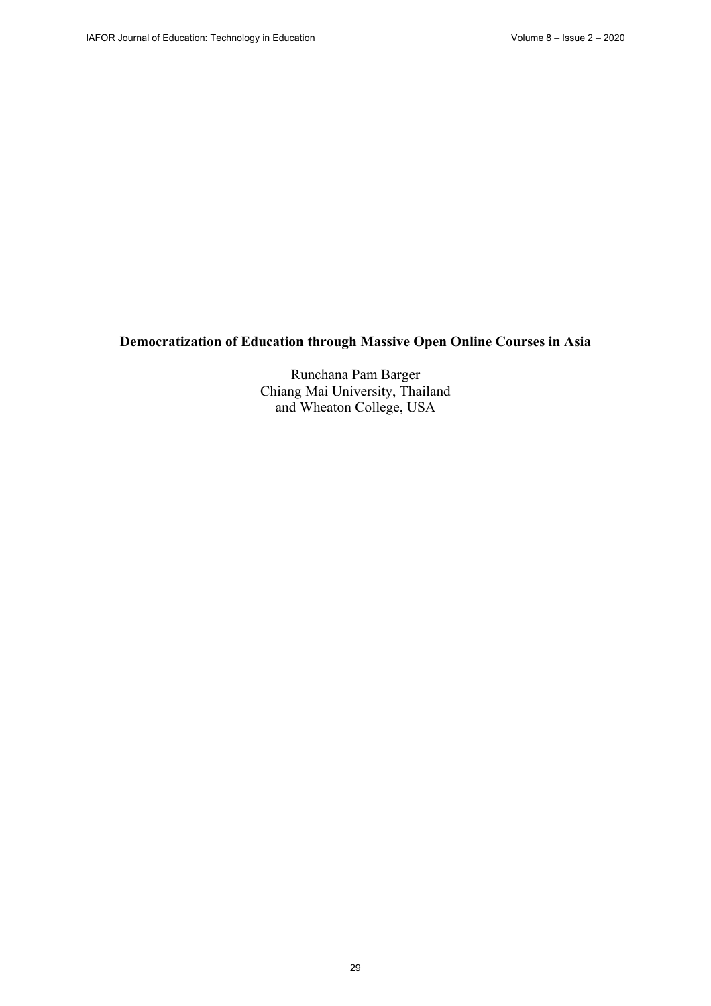# **Democratization of Education through Massive Open Online Courses in Asia**

Runchana Pam Barger Chiang Mai University, Thailand and Wheaton College, USA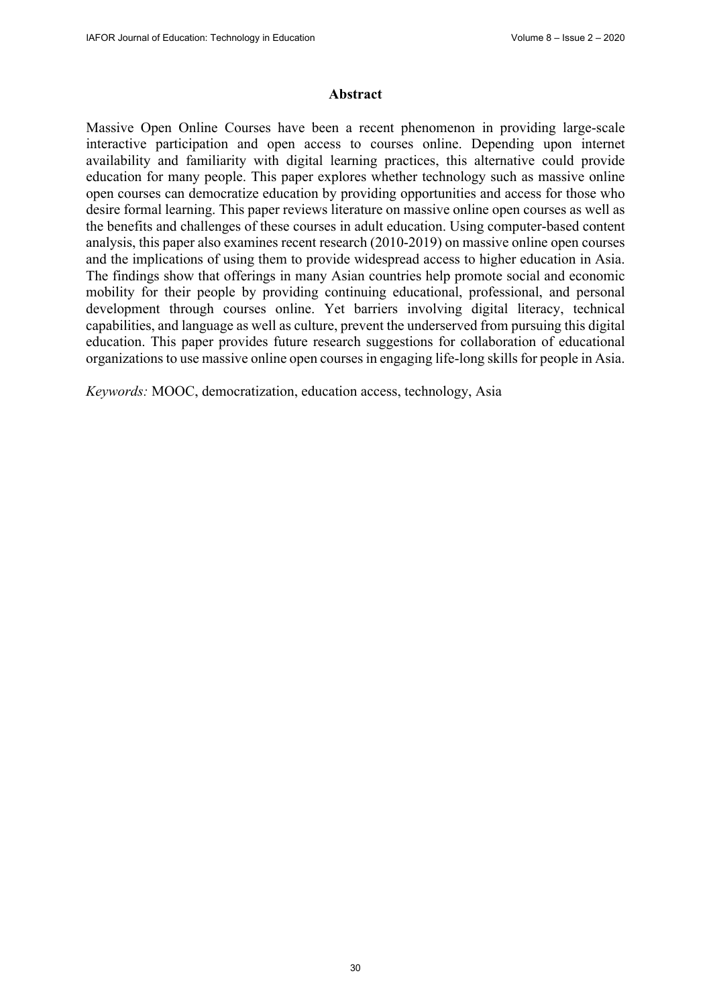#### **Abstract**

Massive Open Online Courses have been a recent phenomenon in providing large-scale interactive participation and open access to courses online. Depending upon internet availability and familiarity with digital learning practices, this alternative could provide education for many people. This paper explores whether technology such as massive online open courses can democratize education by providing opportunities and access for those who desire formal learning. This paper reviews literature on massive online open courses as well as the benefits and challenges of these courses in adult education. Using computer-based content analysis, this paper also examines recent research (2010-2019) on massive online open courses and the implications of using them to provide widespread access to higher education in Asia. The findings show that offerings in many Asian countries help promote social and economic mobility for their people by providing continuing educational, professional, and personal development through courses online. Yet barriers involving digital literacy, technical capabilities, and language as well as culture, prevent the underserved from pursuing this digital education. This paper provides future research suggestions for collaboration of educational organizations to use massive online open courses in engaging life-long skills for people in Asia.

*Keywords:* MOOC, democratization, education access, technology, Asia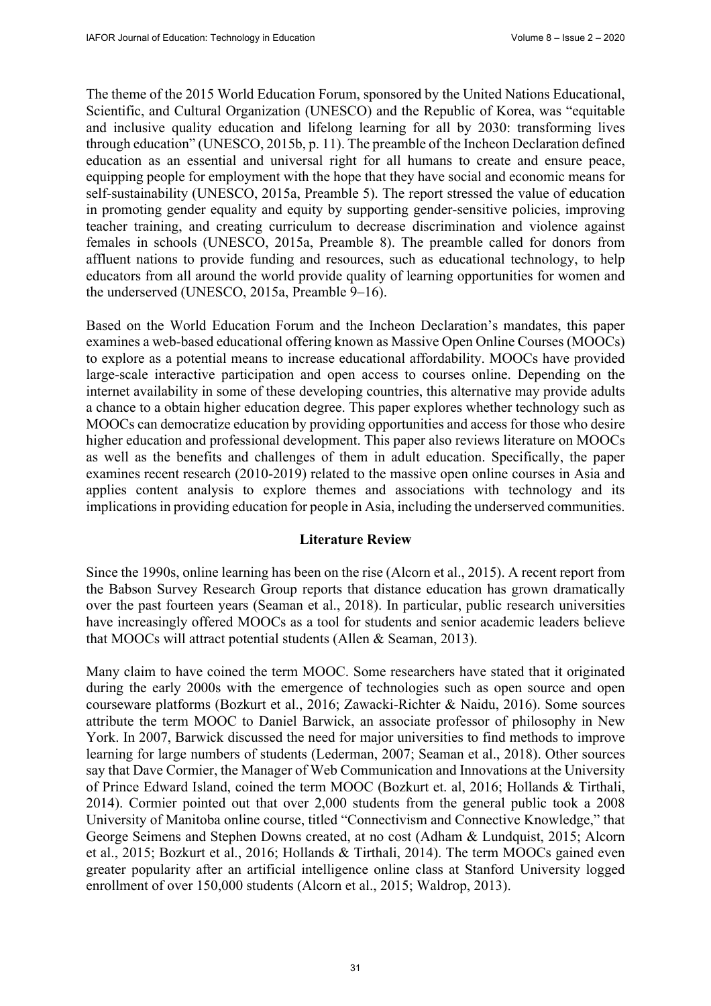The theme of the 2015 World Education Forum, sponsored by the United Nations Educational, Scientific, and Cultural Organization (UNESCO) and the Republic of Korea, was "equitable and inclusive quality education and lifelong learning for all by 2030: transforming lives through education" (UNESCO, 2015b, p. 11). The preamble of the Incheon Declaration defined education as an essential and universal right for all humans to create and ensure peace, equipping people for employment with the hope that they have social and economic means for self-sustainability (UNESCO, 2015a, Preamble 5). The report stressed the value of education in promoting gender equality and equity by supporting gender-sensitive policies, improving teacher training, and creating curriculum to decrease discrimination and violence against females in schools (UNESCO, 2015a, Preamble 8). The preamble called for donors from affluent nations to provide funding and resources, such as educational technology, to help educators from all around the world provide quality of learning opportunities for women and the underserved (UNESCO, 2015a, Preamble 9–16).

Based on the World Education Forum and the Incheon Declaration's mandates, this paper examines a web-based educational offering known as Massive Open Online Courses (MOOCs) to explore as a potential means to increase educational affordability. MOOCs have provided large-scale interactive participation and open access to courses online. Depending on the internet availability in some of these developing countries, this alternative may provide adults a chance to a obtain higher education degree. This paper explores whether technology such as MOOCs can democratize education by providing opportunities and access for those who desire higher education and professional development. This paper also reviews literature on MOOCs as well as the benefits and challenges of them in adult education. Specifically, the paper examines recent research (2010-2019) related to the massive open online courses in Asia and applies content analysis to explore themes and associations with technology and its implications in providing education for people in Asia, including the underserved communities.

## **Literature Review**

Since the 1990s, online learning has been on the rise (Alcorn et al., 2015). A recent report from the Babson Survey Research Group reports that distance education has grown dramatically over the past fourteen years (Seaman et al., 2018). In particular, public research universities have increasingly offered MOOCs as a tool for students and senior academic leaders believe that MOOCs will attract potential students (Allen & Seaman, 2013).

Many claim to have coined the term MOOC. Some researchers have stated that it originated during the early 2000s with the emergence of technologies such as open source and open courseware platforms (Bozkurt et al., 2016; Zawacki-Richter & Naidu, 2016). Some sources attribute the term MOOC to Daniel Barwick, an associate professor of philosophy in New York. In 2007, Barwick discussed the need for major universities to find methods to improve learning for large numbers of students (Lederman, 2007; Seaman et al., 2018). Other sources say that Dave Cormier, the Manager of Web Communication and Innovations at the University of Prince Edward Island, coined the term MOOC (Bozkurt et. al, 2016; Hollands & Tirthali, 2014). Cormier pointed out that over 2,000 students from the general public took a 2008 University of Manitoba online course, titled "Connectivism and Connective Knowledge," that George Seimens and Stephen Downs created, at no cost (Adham & Lundquist, 2015; Alcorn et al., 2015; Bozkurt et al., 2016; Hollands & Tirthali, 2014). The term MOOCs gained even greater popularity after an artificial intelligence online class at Stanford University logged enrollment of over 150,000 students (Alcorn et al., 2015; Waldrop, 2013).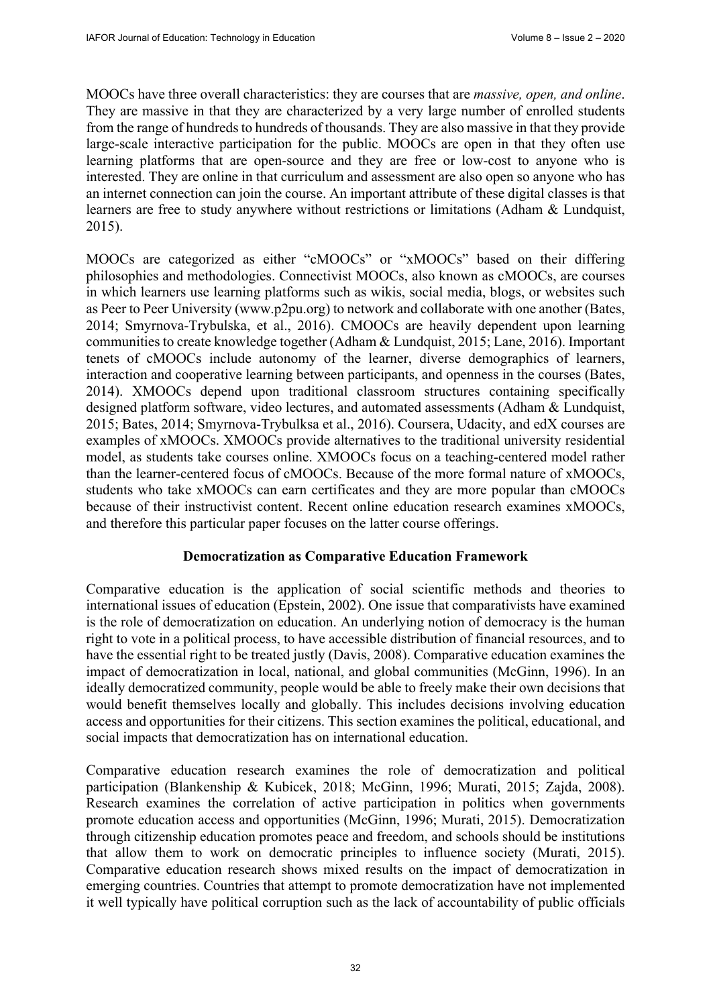MOOCs have three overall characteristics: they are courses that are *massive, open, and online*. They are massive in that they are characterized by a very large number of enrolled students from the range of hundreds to hundreds of thousands. They are also massive in that they provide large-scale interactive participation for the public. MOOCs are open in that they often use learning platforms that are open-source and they are free or low-cost to anyone who is interested. They are online in that curriculum and assessment are also open so anyone who has an internet connection can join the course. An important attribute of these digital classes is that learners are free to study anywhere without restrictions or limitations (Adham & Lundquist, 2015).

MOOCs are categorized as either "cMOOCs" or "xMOOCs" based on their differing philosophies and methodologies. Connectivist MOOCs, also known as cMOOCs, are courses in which learners use learning platforms such as wikis, social media, blogs, or websites such as Peer to Peer University [\(www.p2pu.org\) to](http://www.p2pu.org) network and collaborate with one another (Bates, 2014; Smyrnova-Trybulska, et al., 2016). CMOOCs are heavily dependent upon learning communities to create knowledge together (Adham & Lundquist, 2015; Lane, 2016). Important tenets of cMOOCs include autonomy of the learner, diverse demographics of learners, interaction and cooperative learning between participants, and openness in the courses (Bates, 2014). XMOOCs depend upon traditional classroom structures containing specifically designed platform software, video lectures, and automated assessments (Adham & Lundquist, 2015; Bates, 2014; Smyrnova-Trybulksa et al., 2016). Coursera, Udacity, and edX courses are examples of xMOOCs. XMOOCs provide alternatives to the traditional university residential model, as students take courses online. XMOOCs focus on a teaching-centered model rather than the learner-centered focus of cMOOCs. Because of the more formal nature of xMOOCs, students who take xMOOCs can earn certificates and they are more popular than cMOOCs because of their instructivist content. Recent online education research examines xMOOCs, and therefore this particular paper focuses on the latter course offerings.

## **Democratization as Comparative Education Framework**

Comparative education is the application of social scientific methods and theories to international issues of education (Epstein, 2002). One issue that comparativists have examined is the role of democratization on education. An underlying notion of democracy is the human right to vote in a political process, to have accessible distribution of financial resources, and to have the essential right to be treated justly (Davis, 2008). Comparative education examines the impact of democratization in local, national, and global communities (McGinn, 1996). In an ideally democratized community, people would be able to freely make their own decisions that would benefit themselves locally and globally. This includes decisions involving education access and opportunities for their citizens. This section examines the political, educational, and social impacts that democratization has on international education.

Comparative education research examines the role of democratization and political participation (Blankenship & Kubicek, 2018; McGinn, 1996; Murati, 2015; Zajda, 2008). Research examines the correlation of active participation in politics when governments promote education access and opportunities (McGinn, 1996; Murati, 2015). Democratization through citizenship education promotes peace and freedom, and schools should be institutions that allow them to work on democratic principles to influence society (Murati, 2015). Comparative education research shows mixed results on the impact of democratization in emerging countries. Countries that attempt to promote democratization have not implemented it well typically have political corruption such as the lack of accountability of public officials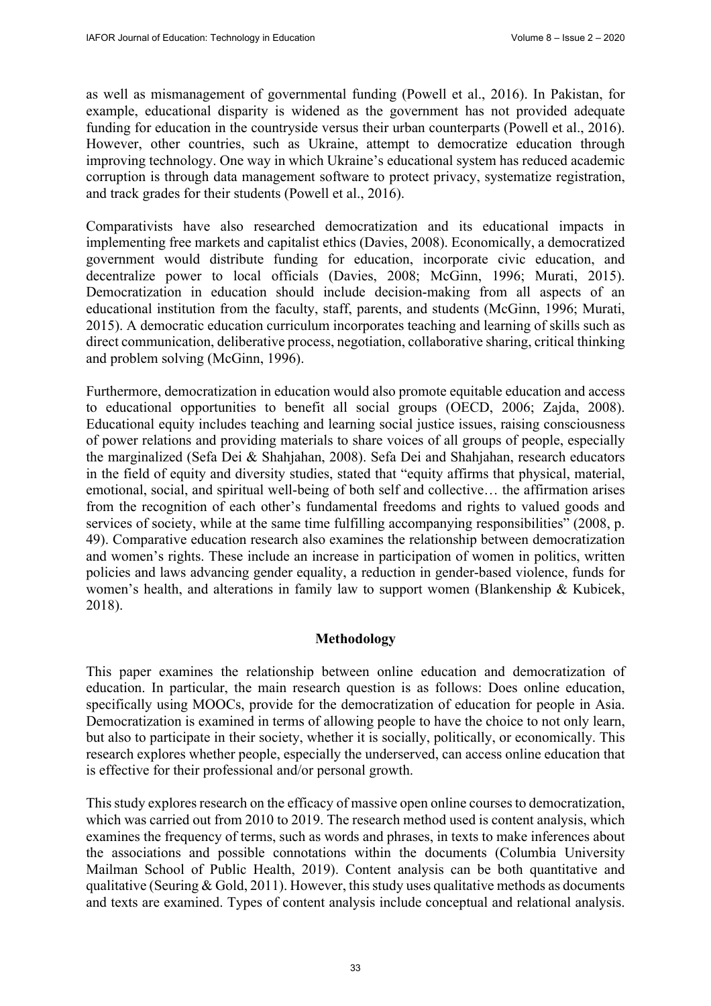as well as mismanagement of governmental funding (Powell et al., 2016). In Pakistan, for example, educational disparity is widened as the government has not provided adequate funding for education in the countryside versus their urban counterparts (Powell et al., 2016). However, other countries, such as Ukraine, attempt to democratize education through improving technology. One way in which Ukraine's educational system has reduced academic corruption is through data management software to protect privacy, systematize registration, and track grades for their students (Powell et al., 2016).

Comparativists have also researched democratization and its educational impacts in implementing free markets and capitalist ethics (Davies, 2008). Economically, a democratized government would distribute funding for education, incorporate civic education, and decentralize power to local officials (Davies, 2008; McGinn, 1996; Murati, 2015). Democratization in education should include decision-making from all aspects of an educational institution from the faculty, staff, parents, and students (McGinn, 1996; Murati, 2015). A democratic education curriculum incorporates teaching and learning of skills such as direct communication, deliberative process, negotiation, collaborative sharing, critical thinking and problem solving (McGinn, 1996).

Furthermore, democratization in education would also promote equitable education and access to educational opportunities to benefit all social groups (OECD, 2006; Zajda, 2008). Educational equity includes teaching and learning social justice issues, raising consciousness of power relations and providing materials to share voices of all groups of people, especially the marginalized (Sefa Dei & Shahjahan, 2008). Sefa Dei and Shahjahan, research educators in the field of equity and diversity studies, stated that "equity affirms that physical, material, emotional, social, and spiritual well-being of both self and collective… the affirmation arises from the recognition of each other's fundamental freedoms and rights to valued goods and services of society, while at the same time fulfilling accompanying responsibilities" (2008, p. 49). Comparative education research also examines the relationship between democratization and women's rights. These include an increase in participation of women in politics, written policies and laws advancing gender equality, a reduction in gender-based violence, funds for women's health, and alterations in family law to support women (Blankenship & Kubicek, 2018).

#### **Methodology**

This paper examines the relationship between online education and democratization of education. In particular, the main research question is as follows: Does online education, specifically using MOOCs, provide for the democratization of education for people in Asia. Democratization is examined in terms of allowing people to have the choice to not only learn, but also to participate in their society, whether it is socially, politically, or economically. This research explores whether people, especially the underserved, can access online education that is effective for their professional and/or personal growth.

This study explores research on the efficacy of massive open online courses to democratization, which was carried out from 2010 to 2019. The research method used is content analysis, which examines the frequency of terms, such as words and phrases, in texts to make inferences about the associations and possible connotations within the documents (Columbia University Mailman School of Public Health, 2019). Content analysis can be both quantitative and qualitative (Seuring  $&$  Gold, 2011). However, this study uses qualitative methods as documents and texts are examined. Types of content analysis include conceptual and relational analysis.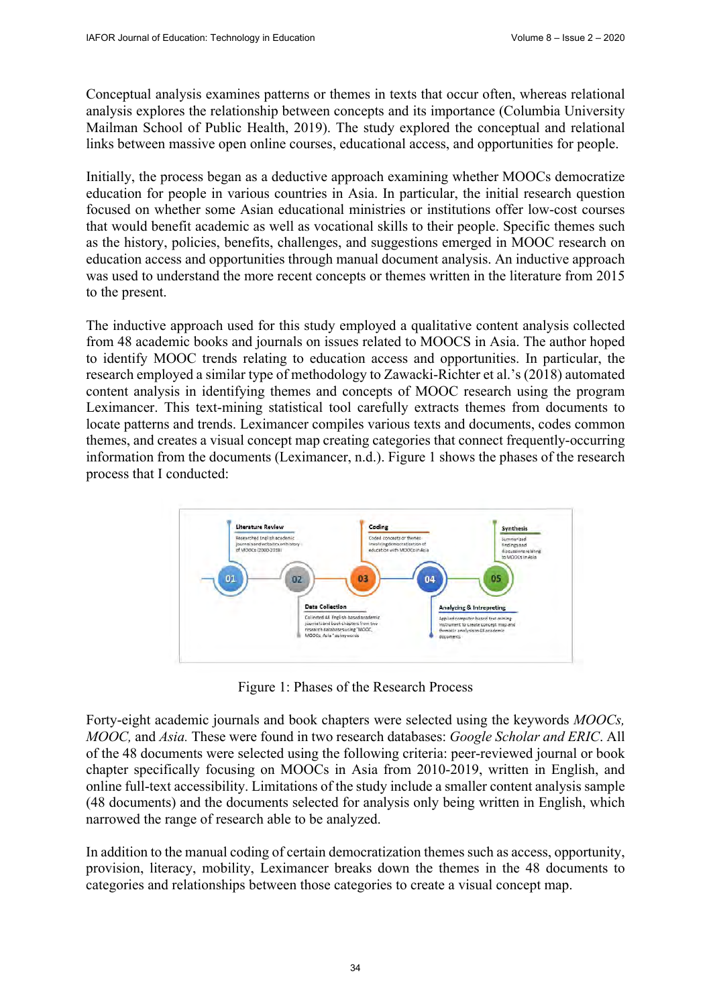Conceptual analysis examines patterns or themes in texts that occur often, whereas relational analysis explores the relationship between concepts and its importance (Columbia University Mailman School of Public Health, 2019). The study explored the conceptual and relational links between massive open online courses, educational access, and opportunities for people.

Initially, the process began as a deductive approach examining whether MOOCs democratize education for people in various countries in Asia. In particular, the initial research question focused on whether some Asian educational ministries or institutions offer low-cost courses that would benefit academic as well as vocational skills to their people. Specific themes such as the history, policies, benefits, challenges, and suggestions emerged in MOOC research on education access and opportunities through manual document analysis. An inductive approach was used to understand the more recent concepts or themes written in the literature from 2015 to the present.

The inductive approach used for this study employed a qualitative content analysis collected from 48 academic books and journals on issues related to MOOCS in Asia. The author hoped to identify MOOC trends relating to education access and opportunities. In particular, the research employed a similar type of methodology to Zawacki-Richter et al.'s (2018) automated content analysis in identifying themes and concepts of MOOC research using the program Leximancer. This text-mining statistical tool carefully extracts themes from documents to locate patterns and trends. Leximancer compiles various texts and documents, codes common themes, and creates a visual concept map creating categories that connect frequently-occurring information from the documents (Leximancer, n.d.). Figure 1 shows the phases of the research process that I conducted:



Figure 1: Phases of the Research Process

Forty-eight academic journals and book chapters were selected using the keywords *MOOCs, MOOC,* and *Asia.* These were found in two research databases: *Google Scholar and ERIC*. All of the 48 documents were selected using the following criteria: peer-reviewed journal or book chapter specifically focusing on MOOCs in Asia from 2010-2019, written in English, and online full-text accessibility. Limitations of the study include a smaller content analysis sample (48 documents) and the documents selected for analysis only being written in English, which narrowed the range of research able to be analyzed.

In addition to the manual coding of certain democratization themes such as access, opportunity, provision, literacy, mobility, Leximancer breaks down the themes in the 48 documents to categories and relationships between those categories to create a visual concept map.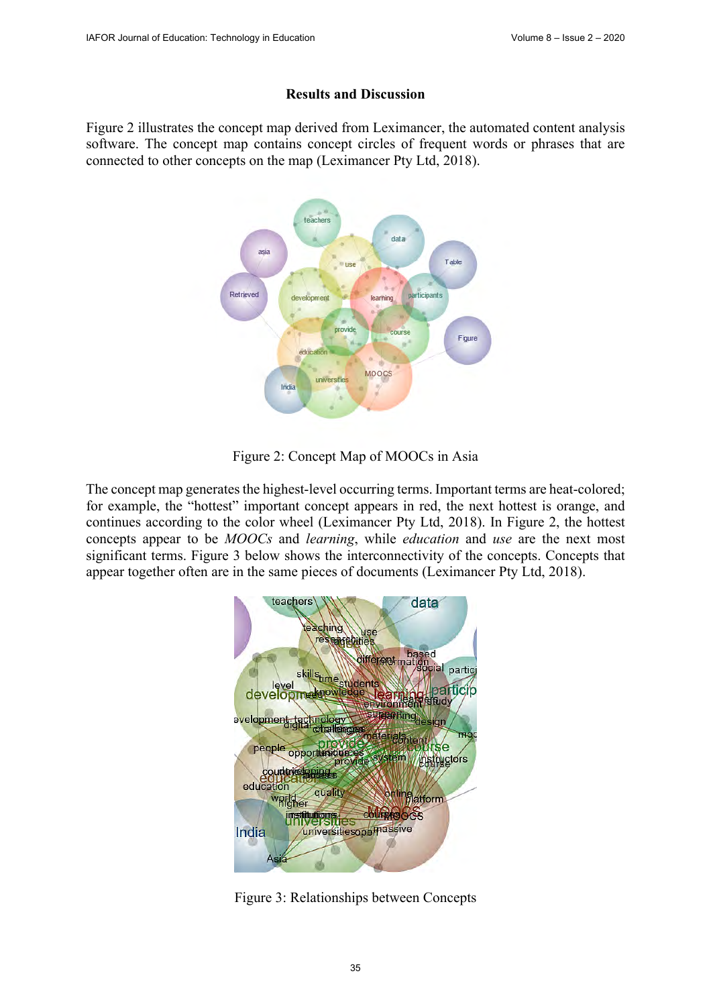#### **Results and Discussion**

Figure 2 illustrates the concept map derived from Leximancer, the automated content analysis software. The concept map contains concept circles of frequent words or phrases that are connected to other concepts on the map (Leximancer Pty Ltd, 2018).



Figure 2: Concept Map of MOOCs in Asia

The concept map generates the highest-level occurring terms. Important terms are heat-colored; for example, the "hottest" important concept appears in red, the next hottest is orange, and continues according to the color wheel (Leximancer Pty Ltd, 2018). In Figure 2, the hottest concepts appear to be *MOOCs* and *learning*, while *education* and *use* are the next most significant terms. Figure 3 below shows the interconnectivity of the concepts. Concepts that appear together often are in the same pieces of documents (Leximancer Pty Ltd, 2018).



Figure 3: Relationships between Concepts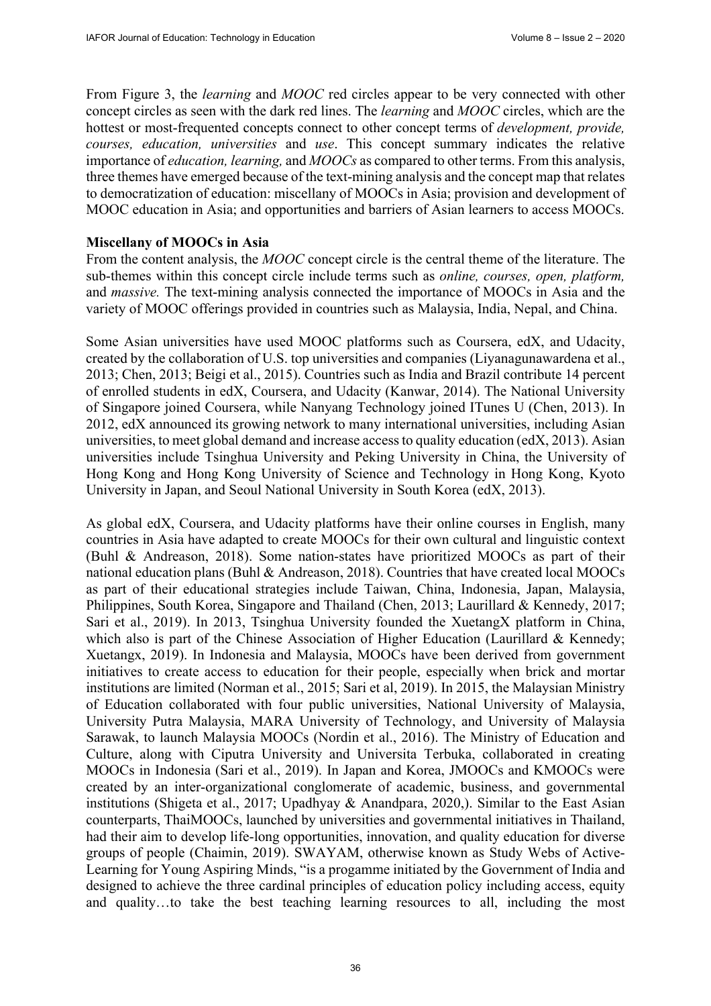From Figure 3, the *learning* and *MOOC* red circles appear to be very connected with other concept circles as seen with the dark red lines. The *learning* and *MOOC* circles, which are the hottest or most-frequented concepts connect to other concept terms of *development, provide, courses, education, universities* and *use*. This concept summary indicates the relative importance of *education, learning,* and *MOOCs* as compared to other terms. From this analysis, three themes have emerged because of the text-mining analysis and the concept map that relates to democratization of education: miscellany of MOOCs in Asia; provision and development of MOOC education in Asia; and opportunities and barriers of Asian learners to access MOOCs.

## **Miscellany of MOOCs in Asia**

From the content analysis, the *MOOC* concept circle is the central theme of the literature. The sub-themes within this concept circle include terms such as *online, courses, open, platform,*  and *massive.* The text-mining analysis connected the importance of MOOCs in Asia and the variety of MOOC offerings provided in countries such as Malaysia, India, Nepal, and China.

Some Asian universities have used MOOC platforms such as Coursera, edX, and Udacity, created by the collaboration of U.S. top universities and companies (Liyanagunawardena et al., 2013; Chen, 2013; Beigi et al., 2015). Countries such as India and Brazil contribute 14 percent of enrolled students in edX, Coursera, and Udacity (Kanwar, 2014). The National University of Singapore joined Coursera, while Nanyang Technology joined ITunes U (Chen, 2013). In 2012, edX announced its growing network to many international universities, including Asian universities, to meet global demand and increase access to quality education (edX, 2013). Asian universities include Tsinghua University and Peking University in China, the University of Hong Kong and Hong Kong University of Science and Technology in Hong Kong, Kyoto University in Japan, and Seoul National University in South Korea (edX, 2013).

As global edX, Coursera, and Udacity platforms have their online courses in English, many countries in Asia have adapted to create MOOCs for their own cultural and linguistic context (Buhl & Andreason, 2018). Some nation-states have prioritized MOOCs as part of their national education plans (Buhl & Andreason, 2018). Countries that have created local MOOCs as part of their educational strategies include Taiwan, China, Indonesia, Japan, Malaysia, Philippines, South Korea, Singapore and Thailand (Chen, 2013; Laurillard & Kennedy, 2017; Sari et al., 2019). In 2013, Tsinghua University founded the XuetangX platform in China, which also is part of the Chinese Association of Higher Education (Laurillard & Kennedy; Xuetangx, 2019). In Indonesia and Malaysia, MOOCs have been derived from government initiatives to create access to education for their people, especially when brick and mortar institutions are limited (Norman et al., 2015; Sari et al, 2019). In 2015, the Malaysian Ministry of Education collaborated with four public universities, National University of Malaysia, University Putra Malaysia, MARA University of Technology, and University of Malaysia Sarawak, to launch Malaysia MOOCs (Nordin et al., 2016). The Ministry of Education and Culture, along with Ciputra University and Universita Terbuka, collaborated in creating MOOCs in Indonesia (Sari et al., 2019). In Japan and Korea, JMOOCs and KMOOCs were created by an inter-organizational conglomerate of academic, business, and governmental institutions (Shigeta et al., 2017; Upadhyay & Anandpara, 2020,). Similar to the East Asian counterparts, ThaiMOOCs, launched by universities and governmental initiatives in Thailand, had their aim to develop life-long opportunities, innovation, and quality education for diverse groups of people (Chaimin, 2019). SWAYAM, otherwise known as Study Webs of Active-Learning for Young Aspiring Minds, "is a progamme initiated by the Government of India and designed to achieve the three cardinal principles of education policy including access, equity and quality…to take the best teaching learning resources to all, including the most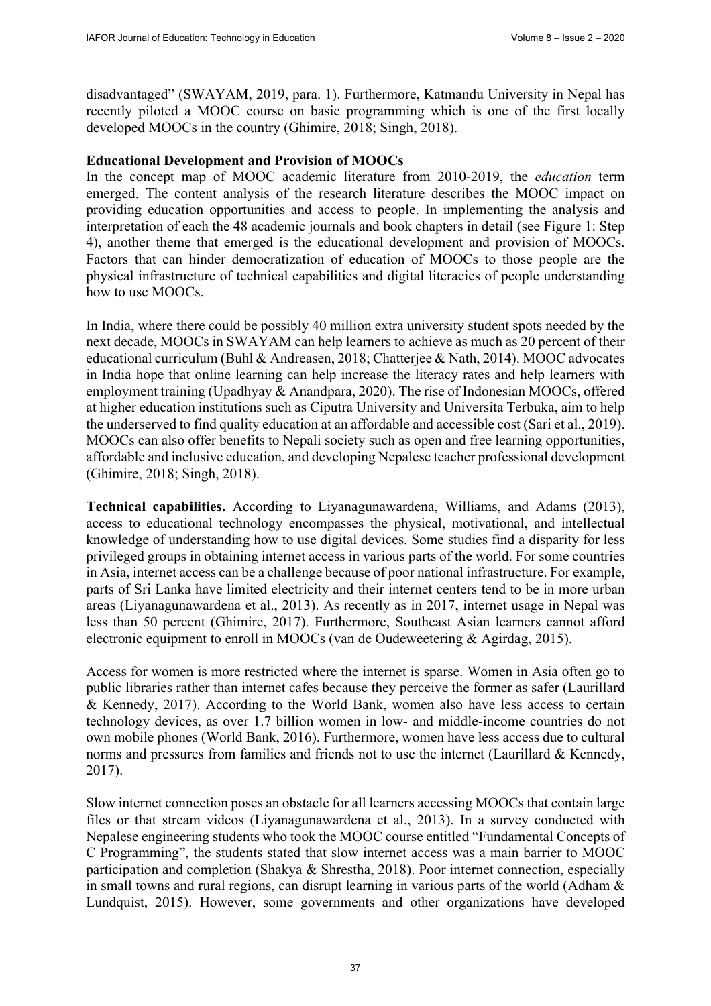disadvantaged" (SWAYAM, 2019, para. 1). Furthermore, Katmandu University in Nepal has recently piloted a MOOC course on basic programming which is one of the first locally developed MOOCs in the country (Ghimire, 2018; Singh, 2018).

### **Educational Development and Provision of MOOCs**

In the concept map of MOOC academic literature from 2010-2019, the *education* term emerged. The content analysis of the research literature describes the MOOC impact on providing education opportunities and access to people. In implementing the analysis and interpretation of each the 48 academic journals and book chapters in detail (see Figure 1: Step 4), another theme that emerged is the educational development and provision of MOOCs. Factors that can hinder democratization of education of MOOCs to those people are the physical infrastructure of technical capabilities and digital literacies of people understanding how to use MOOCs.

In India, where there could be possibly 40 million extra university student spots needed by the next decade, MOOCs in SWAYAM can help learners to achieve as much as 20 percent of their educational curriculum (Buhl & Andreasen, 2018; Chatterjee & Nath, 2014). MOOC advocates in India hope that online learning can help increase the literacy rates and help learners with employment training (Upadhyay & Anandpara, 2020). The rise of Indonesian MOOCs, offered at higher education institutions such as Ciputra University and Universita Terbuka, aim to help the underserved to find quality education at an affordable and accessible cost (Sari et al., 2019). MOOCs can also offer benefits to Nepali society such as open and free learning opportunities, affordable and inclusive education, and developing Nepalese teacher professional development (Ghimire, 2018; Singh, 2018).

**Technical capabilities.** According to Liyanagunawardena, Williams, and Adams (2013), access to educational technology encompasses the physical, motivational, and intellectual knowledge of understanding how to use digital devices. Some studies find a disparity for less privileged groups in obtaining internet access in various parts of the world. For some countries in Asia, internet access can be a challenge because of poor national infrastructure. For example, parts of Sri Lanka have limited electricity and their internet centers tend to be in more urban areas (Liyanagunawardena et al., 2013). As recently as in 2017, internet usage in Nepal was less than 50 percent (Ghimire, 2017). Furthermore, Southeast Asian learners cannot afford electronic equipment to enroll in MOOCs (van de Oudeweetering & Agirdag, 2015).

Access for women is more restricted where the internet is sparse. Women in Asia often go to public libraries rather than internet cafes because they perceive the former as safer (Laurillard & Kennedy, 2017). According to the World Bank, women also have less access to certain technology devices, as over 1.7 billion women in low- and middle-income countries do not own mobile phones (World Bank, 2016). Furthermore, women have less access due to cultural norms and pressures from families and friends not to use the internet (Laurillard & Kennedy, 2017).

Slow internet connection poses an obstacle for all learners accessing MOOCs that contain large files or that stream videos (Liyanagunawardena et al., 2013). In a survey conducted with Nepalese engineering students who took the MOOC course entitled "Fundamental Concepts of C Programming", the students stated that slow internet access was a main barrier to MOOC participation and completion (Shakya & Shrestha, 2018). Poor internet connection, especially in small towns and rural regions, can disrupt learning in various parts of the world (Adham & Lundquist, 2015). However, some governments and other organizations have developed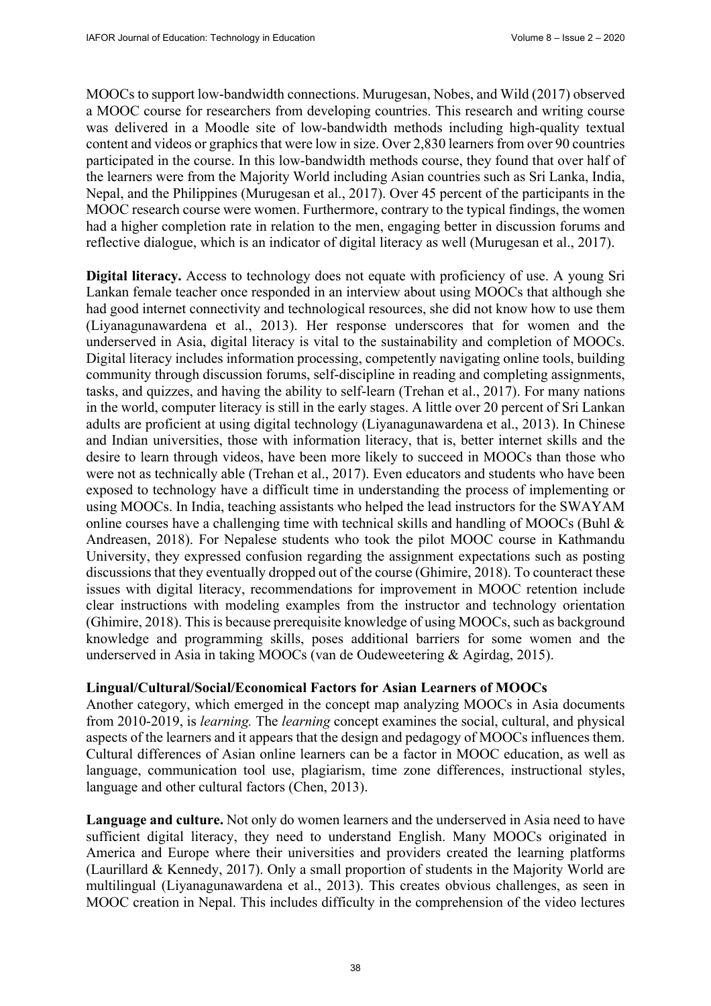MOOCs to support low-bandwidth connections. Murugesan, Nobes, and Wild (2017) observed a MOOC course for researchers from developing countries. This research and writing course was delivered in a Moodle site of low-bandwidth methods including high-quality textual content and videos or graphics that were low in size. Over 2,830 learners from over 90 countries participated in the course. In this low-bandwidth methods course, they found that over half of the learners were from the Majority World including Asian countries such as Sri Lanka, India, Nepal, and the Philippines (Murugesan et al., 2017). Over 45 percent of the participants in the MOOC research course were women. Furthermore, contrary to the typical findings, the women had a higher completion rate in relation to the men, engaging better in discussion forums and reflective dialogue, which is an indicator of digital literacy as well (Murugesan et al., 2017).

**Digital literacy.** Access to technology does not equate with proficiency of use. A young Sri Lankan female teacher once responded in an interview about using MOOCs that although she had good internet connectivity and technological resources, she did not know how to use them (Liyanagunawardena et al., 2013). Her response underscores that for women and the underserved in Asia, digital literacy is vital to the sustainability and completion of MOOCs. Digital literacy includes information processing, competently navigating online tools, building community through discussion forums, self-discipline in reading and completing assignments, tasks, and quizzes, and having the ability to self-learn (Trehan et al., 2017). For many nations in the world, computer literacy is still in the early stages. A little over 20 percent of Sri Lankan adults are proficient at using digital technology (Liyanagunawardena et al., 2013). In Chinese and Indian universities, those with information literacy, that is, better internet skills and the desire to learn through videos, have been more likely to succeed in MOOCs than those who were not as technically able (Trehan et al., 2017). Even educators and students who have been exposed to technology have a difficult time in understanding the process of implementing or using MOOCs. In India, teaching assistants who helped the lead instructors for the SWAYAM online courses have a challenging time with technical skills and handling of MOOCs (Buhl & Andreasen, 2018). For Nepalese students who took the pilot MOOC course in Kathmandu University, they expressed confusion regarding the assignment expectations such as posting discussions that they eventually dropped out of the course (Ghimire, 2018). To counteract these issues with digital literacy, recommendations for improvement in MOOC retention include clear instructions with modeling examples from the instructor and technology orientation (Ghimire, 2018). This is because prerequisite knowledge of using MOOCs, such as background knowledge and programming skills, poses additional barriers for some women and the underserved in Asia in taking MOOCs (van de Oudeweetering & Agirdag, 2015).

#### **Lingual/Cultural/Social/Economical Factors for Asian Learners of MOOCs**

Another category, which emerged in the concept map analyzing MOOCs in Asia documents from 2010-2019, is *learning.* The *learning* concept examines the social, cultural, and physical aspects of the learners and it appears that the design and pedagogy of MOOCs influences them. Cultural differences of Asian online learners can be a factor in MOOC education, as well as language, communication tool use, plagiarism, time zone differences, instructional styles, language and other cultural factors (Chen, 2013).

**Language and culture.** Not only do women learners and the underserved in Asia need to have sufficient digital literacy, they need to understand English. Many MOOCs originated in America and Europe where their universities and providers created the learning platforms (Laurillard & Kennedy, 2017). Only a small proportion of students in the Majority World are multilingual (Liyanagunawardena et al., 2013). This creates obvious challenges, as seen in MOOC creation in Nepal. This includes difficulty in the comprehension of the video lectures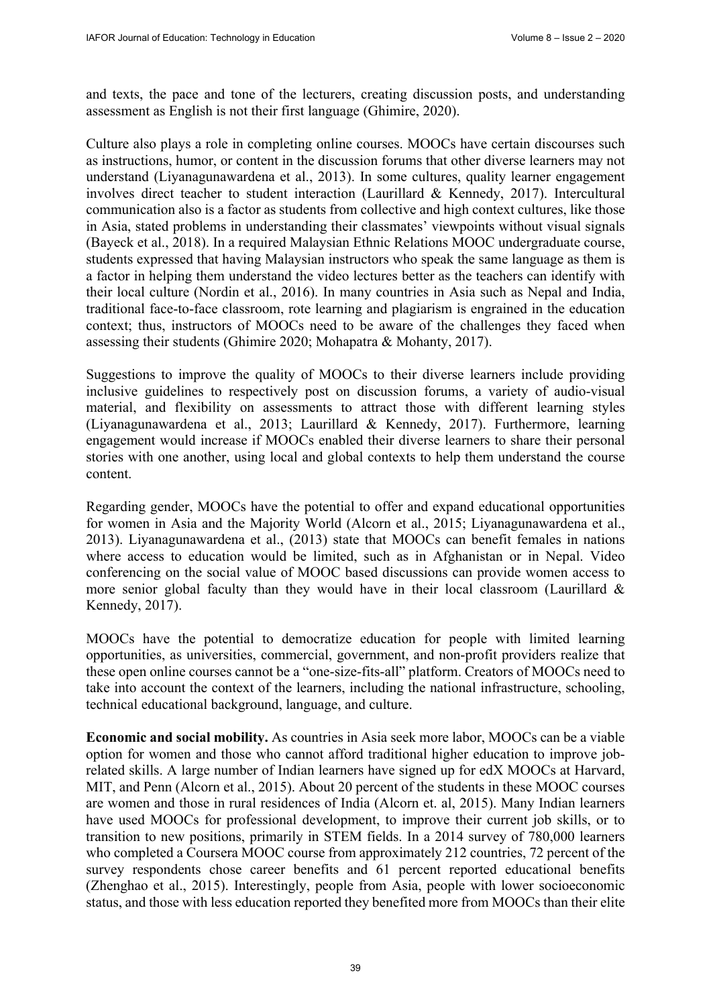and texts, the pace and tone of the lecturers, creating discussion posts, and understanding assessment as English is not their first language (Ghimire, 2020).

Culture also plays a role in completing online courses. MOOCs have certain discourses such as instructions, humor, or content in the discussion forums that other diverse learners may not understand (Liyanagunawardena et al., 2013). In some cultures, quality learner engagement involves direct teacher to student interaction (Laurillard & Kennedy, 2017). Intercultural communication also is a factor as students from collective and high context cultures, like those in Asia, stated problems in understanding their classmates' viewpoints without visual signals (Bayeck et al., 2018). In a required Malaysian Ethnic Relations MOOC undergraduate course, students expressed that having Malaysian instructors who speak the same language as them is a factor in helping them understand the video lectures better as the teachers can identify with their local culture (Nordin et al., 2016). In many countries in Asia such as Nepal and India, traditional face-to-face classroom, rote learning and plagiarism is engrained in the education context; thus, instructors of MOOCs need to be aware of the challenges they faced when assessing their students (Ghimire 2020; Mohapatra & Mohanty, 2017).

Suggestions to improve the quality of MOOCs to their diverse learners include providing inclusive guidelines to respectively post on discussion forums, a variety of audio-visual material, and flexibility on assessments to attract those with different learning styles (Liyanagunawardena et al., 2013; Laurillard & Kennedy, 2017). Furthermore, learning engagement would increase if MOOCs enabled their diverse learners to share their personal stories with one another, using local and global contexts to help them understand the course content.

Regarding gender, MOOCs have the potential to offer and expand educational opportunities for women in Asia and the Majority World (Alcorn et al., 2015; Liyanagunawardena et al., 2013). Liyanagunawardena et al., (2013) state that MOOCs can benefit females in nations where access to education would be limited, such as in Afghanistan or in Nepal. Video conferencing on the social value of MOOC based discussions can provide women access to more senior global faculty than they would have in their local classroom (Laurillard & Kennedy, 2017).

MOOCs have the potential to democratize education for people with limited learning opportunities, as universities, commercial, government, and non-profit providers realize that these open online courses cannot be a "one-size-fits-all" platform. Creators of MOOCs need to take into account the context of the learners, including the national infrastructure, schooling, technical educational background, language, and culture.

**Economic and social mobility.** As countries in Asia seek more labor, MOOCs can be a viable option for women and those who cannot afford traditional higher education to improve jobrelated skills. A large number of Indian learners have signed up for edX MOOCs at Harvard, MIT, and Penn (Alcorn et al., 2015). About 20 percent of the students in these MOOC courses are women and those in rural residences of India (Alcorn et. al, 2015). Many Indian learners have used MOOCs for professional development, to improve their current job skills, or to transition to new positions, primarily in STEM fields. In a 2014 survey of 780,000 learners who completed a Coursera MOOC course from approximately 212 countries, 72 percent of the survey respondents chose career benefits and 61 percent reported educational benefits (Zhenghao et al., 2015). Interestingly, people from Asia, people with lower socioeconomic status, and those with less education reported they benefited more from MOOCs than their elite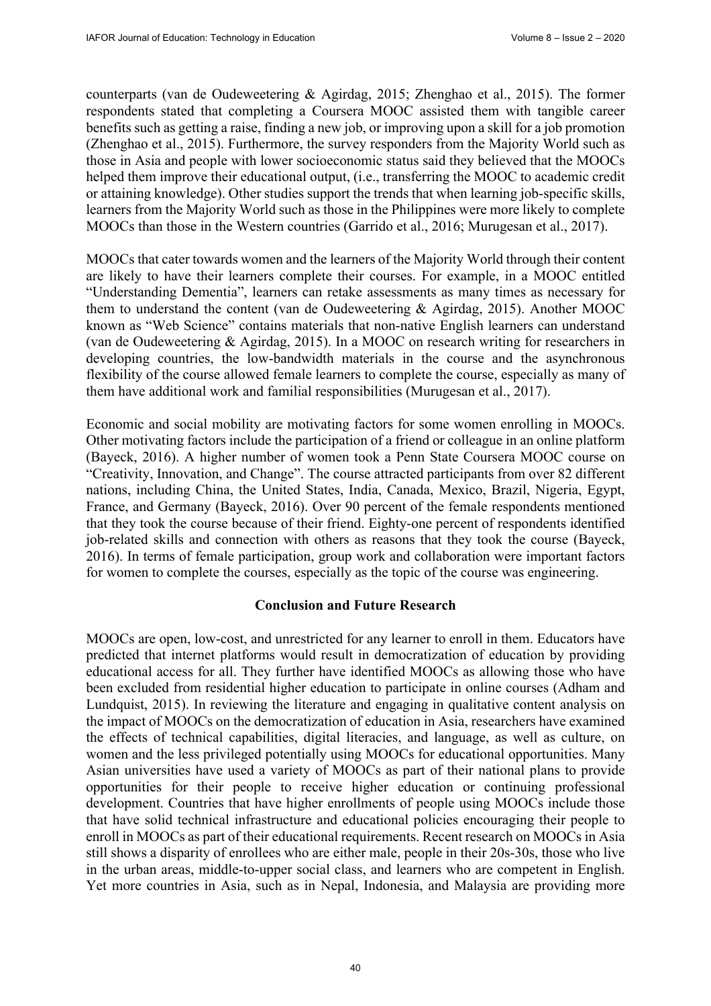counterparts (van de Oudeweetering & Agirdag, 2015; Zhenghao et al., 2015). The former respondents stated that completing a Coursera MOOC assisted them with tangible career benefits such as getting a raise, finding a new job, or improving upon a skill for a job promotion (Zhenghao et al., 2015). Furthermore, the survey responders from the Majority World such as those in Asia and people with lower socioeconomic status said they believed that the MOOCs helped them improve their educational output, *(i.e., transferring the MOOC to academic credit* or attaining knowledge). Other studies support the trends that when learning job-specific skills, learners from the Majority World such as those in the Philippines were more likely to complete MOOCs than those in the Western countries (Garrido et al., 2016; Murugesan et al., 2017).

MOOCs that cater towards women and the learners of the Majority World through their content are likely to have their learners complete their courses. For example, in a MOOC entitled "Understanding Dementia", learners can retake assessments as many times as necessary for them to understand the content (van de Oudeweetering & Agirdag, 2015). Another MOOC known as "Web Science" contains materials that non-native English learners can understand (van de Oudeweetering & Agirdag, 2015). In a MOOC on research writing for researchers in developing countries, the low-bandwidth materials in the course and the asynchronous flexibility of the course allowed female learners to complete the course, especially as many of them have additional work and familial responsibilities (Murugesan et al., 2017).

Economic and social mobility are motivating factors for some women enrolling in MOOCs. Other motivating factors include the participation of a friend or colleague in an online platform (Bayeck, 2016). A higher number of women took a Penn State Coursera MOOC course on "Creativity, Innovation, and Change". The course attracted participants from over 82 different nations, including China, the United States, India, Canada, Mexico, Brazil, Nigeria, Egypt, France, and Germany (Bayeck, 2016). Over 90 percent of the female respondents mentioned that they took the course because of their friend. Eighty-one percent of respondents identified job-related skills and connection with others as reasons that they took the course (Bayeck, 2016). In terms of female participation, group work and collaboration were important factors for women to complete the courses, especially as the topic of the course was engineering.

## **Conclusion and Future Research**

MOOCs are open, low-cost, and unrestricted for any learner to enroll in them. Educators have predicted that internet platforms would result in democratization of education by providing educational access for all. They further have identified MOOCs as allowing those who have been excluded from residential higher education to participate in online courses (Adham and Lundquist, 2015). In reviewing the literature and engaging in qualitative content analysis on the impact of MOOCs on the democratization of education in Asia, researchers have examined the effects of technical capabilities, digital literacies, and language, as well as culture, on women and the less privileged potentially using MOOCs for educational opportunities. Many Asian universities have used a variety of MOOCs as part of their national plans to provide opportunities for their people to receive higher education or continuing professional development. Countries that have higher enrollments of people using MOOCs include those that have solid technical infrastructure and educational policies encouraging their people to enroll in MOOCs as part of their educational requirements. Recent research on MOOCs in Asia still shows a disparity of enrollees who are either male, people in their 20s-30s, those who live in the urban areas, middle-to-upper social class, and learners who are competent in English. Yet more countries in Asia, such as in Nepal, Indonesia, and Malaysia are providing more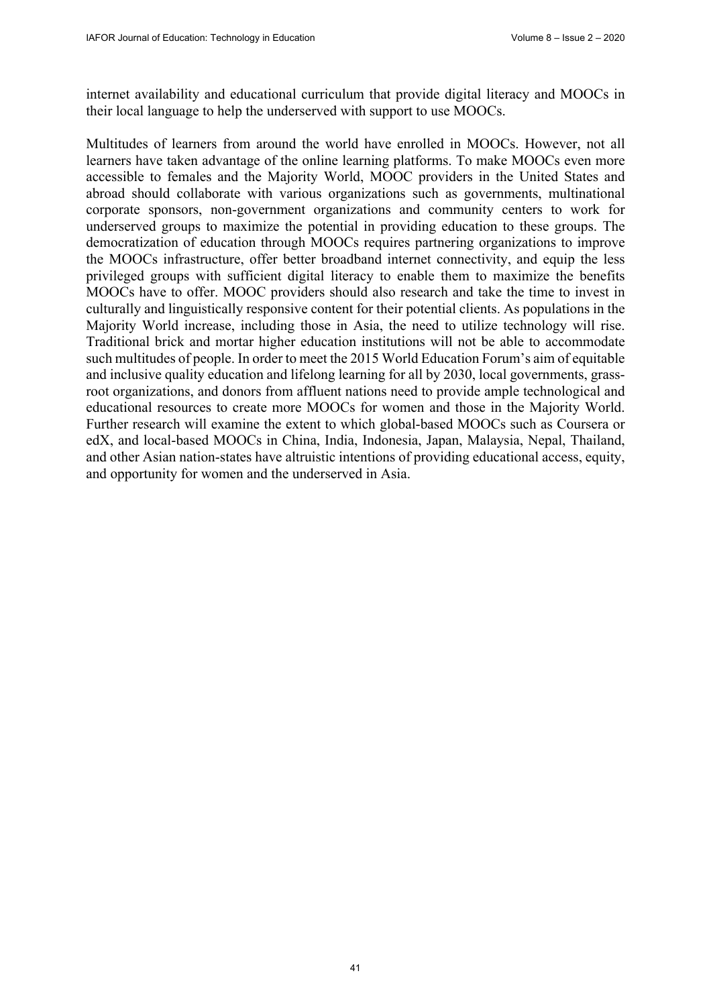internet availability and educational curriculum that provide digital literacy and MOOCs in their local language to help the underserved with support to use MOOCs.

Multitudes of learners from around the world have enrolled in MOOCs. However, not all learners have taken advantage of the online learning platforms. To make MOOCs even more accessible to females and the Majority World, MOOC providers in the United States and abroad should collaborate with various organizations such as governments, multinational corporate sponsors, non-government organizations and community centers to work for underserved groups to maximize the potential in providing education to these groups. The democratization of education through MOOCs requires partnering organizations to improve the MOOCs infrastructure, offer better broadband internet connectivity, and equip the less privileged groups with sufficient digital literacy to enable them to maximize the benefits MOOCs have to offer. MOOC providers should also research and take the time to invest in culturally and linguistically responsive content for their potential clients. As populations in the Majority World increase, including those in Asia, the need to utilize technology will rise. Traditional brick and mortar higher education institutions will not be able to accommodate such multitudes of people. In order to meet the 2015 World Education Forum's aim of equitable and inclusive quality education and lifelong learning for all by 2030, local governments, grassroot organizations, and donors from affluent nations need to provide ample technological and educational resources to create more MOOCs for women and those in the Majority World. Further research will examine the extent to which global-based MOOCs such as Coursera or edX, and local-based MOOCs in China, India, Indonesia, Japan, Malaysia, Nepal, Thailand, and other Asian nation-states have altruistic intentions of providing educational access, equity, and opportunity for women and the underserved in Asia.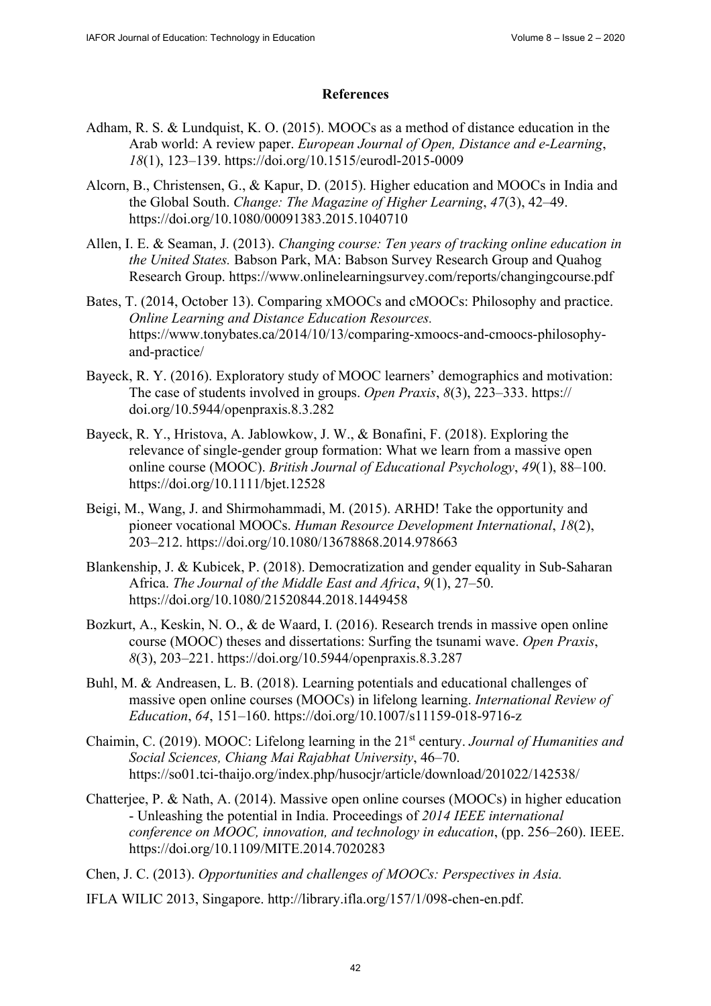#### **References**

- Adham, R. S. & Lundquist, K. O. (2015). MOOCs as a method of distance education in the Arab world: A review paper. *European Journal of Open, Distance and e-Learning*, *18*(1), 123–139. <https://doi.org/10.1515/eurodl-2015-0009>
- Alcorn, B., Christensen, G., & Kapur, D. (2015). Higher education and MOOCs in India and the Global South. *Change: The Magazine of Higher Learning*, *47*(3), 42–49. <https://doi.org/10.1080/00091383.2015.1040710>
- Allen, I. E. & Seaman, J. (2013). *Changing course: Ten years of tracking online education in the United States.* Babson Park, MA: Babson Survey Research Group and Quahog Research Group. <https://www.onlinelearningsurvey.com/reports/changingcourse.pdf>
- Bates, T. (2014, October 13). Comparing xMOOCs and cMOOCs: Philosophy and practice. *Online Learning and Distance Education Resources.* [https://www.tonybates.ca/2014/10/13/comparing-xmoocs-and-cmoocs-philosophy](https://www.tonybates.ca/2014/10/13/comparing-xmoocs-and-cmoocs-philosophy-and-practice/)and[-practice/](https://www.tonybates.ca/2014/10/13/comparing-xmoocs-and-cmoocs-philosophy-and-practice/)
- Bayeck, R. Y. (2016). Exploratory study of MOOC learners' demographics and motivation: The case of students involved in groups. *Open Praxis*, *8*(3), 223–333. [https://](https://doi.org/10.5944/openpraxis.8.3.282) [doi.org/10.5944/openpraxis.8.3.282](https://doi.org/10.5944/openpraxis.8.3.282)
- Bayeck, R. Y., Hristova, A. Jablowkow, J. W., & Bonafini, F. (2018). Exploring the relevance of single-gender group formation: What we learn from a massive open online course (MOOC). *British Journal of Educational Psychology*, *49*(1), 88–100. <https://doi.org/10.1111/bjet.12528>
- Beigi, M., Wang, J. and Shirmohammadi, M. (2015). ARHD! Take the opportunity and pioneer vocational MOOCs. *Human Resource Development International*, *18*(2), 203–212. <https://doi.org/10.1080/13678868.2014.978663>
- Blankenship, J. & Kubicek, P. (2018). Democratization and gender equality in Sub-Saharan Africa. *The Journal of the Middle East and Africa*, *9*(1), 27–50. <https://doi.org/10.1080/21520844.2018.1449458>
- Bozkurt, A., Keskin, N. O., & de Waard, I. (2016). Research trends in massive open online course (MOOC) theses and dissertations: Surfing the tsunami wave. *Open Praxis*, *8*(3), 203–221. <https://doi.org/10.5944/openpraxis.8.3.287>
- Buhl, M. & Andreasen, L. B. (2018). Learning potentials and educational challenges of massive open online courses (MOOCs) in lifelong learning. *International Review of Education*, *64*, 151–160.<https://doi.org/10.1007/s11159-018-9716-z>
- Chaimin, C. (2019). MOOC: Lifelong learning in the 21st century. *Journal of Humanities and Social Sciences, Chiang Mai Rajabhat University*, 46–70. <https://so01.tci-thaijo.org/index.php/husocjr/article/download/201022/142538/>
- Chatterjee, P. & Nath, A. (2014). Massive open online courses (MOOCs) in higher education - Unleashing the potential in India. Proceedings of *2014 IEEE international conference on MOOC, innovation, and technology in education*, (pp. 256–260). IEEE. <https://doi.org/10.1109/MITE.2014.7020283>

Chen, J. C. (2013). *Opportunities and challenges of MOOCs: Perspectives in Asia.*

IFLA WILIC 2013, Singapore. [http://library.ifla.org/157/1/098-chen-en.pdf.](http://library.ifla.org/157/1/098-chen-en.pdf)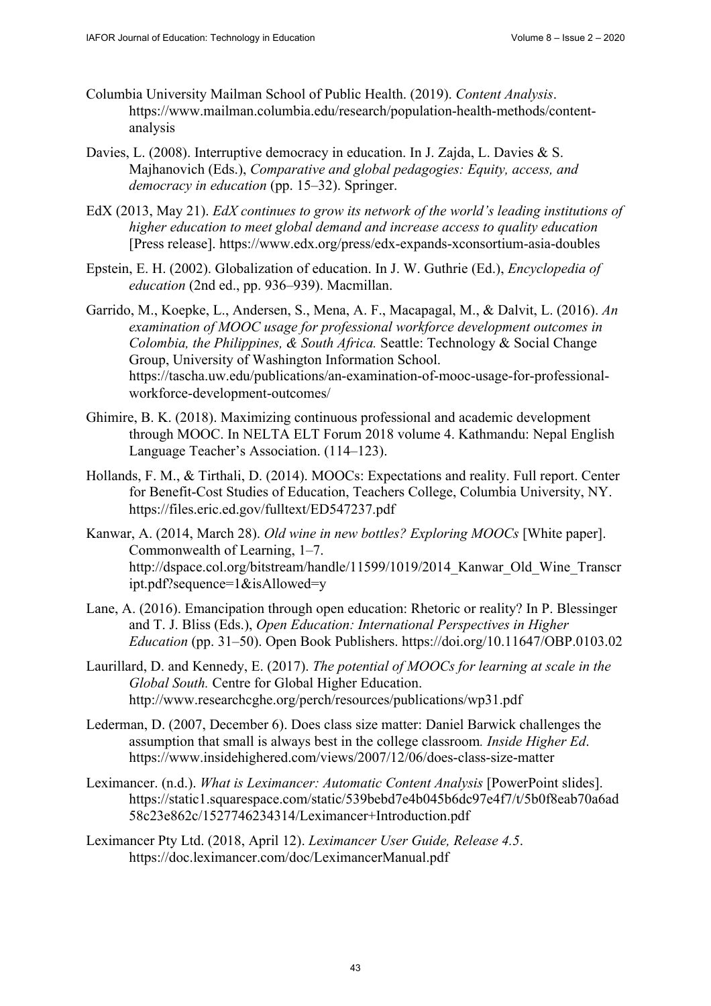- Columbia University Mailman School of Public Health. (2019). *Content Analysis*. [https://www.mailman.columbia.edu/research/population-health-methods/content](https://www.mailman.columbia.edu/research/population-health-methods/content-analysisDavies)analysis
- [Davies, L.](https://www.mailman.columbia.edu/research/population-health-methods/content-analysisDavies) (2008). Interruptive democracy in education. In J. Zajda, L. Davies & S. Majhanovich (Eds.), *Comparative and global pedagogies: Equity, access, and democracy in education* (pp. 15–32). Springer.
- EdX (2013, May 21). *EdX continues to grow its network of the world's leading institutions of higher education to meet global demand and increase access to quality education*  [Press release]. <https://www.edx.org/press/edx-expands-xconsortium-asia-doubles>
- Epstein, E. H. (2002). Globalization of education. In J. W. Guthrie (Ed.), *Encyclopedia of education* (2nd ed., pp. 936–939). Macmillan.
- Garrido, M., Koepke, L., Andersen, S., Mena, A. F., Macapagal, M., & Dalvit, L. (2016). *An examination of MOOC usage for professional workforce development outcomes in Colombia, the Philippines, & South Africa.* Seattle: Technology & Social Change Group, University of Washington Information School. [https://tascha.uw.edu/publications/an-examination-of-mooc-usage-for-professional](https://tascha.uw.edu/publications/an-examination-of-mooc-usage-for-professional-workforce-development-outcomes/)workforce[-development-outcomes/](https://tascha.uw.edu/publications/an-examination-of-mooc-usage-for-professional-workforce-development-outcomes/)
- Ghimire, B. K. (2018). Maximizing continuous professional and academic development through MOOC. In NELTA ELT Forum 2018 volume 4. Kathmandu: Nepal English Language Teacher's Association. (114–123).
- Hollands, F. M., & Tirthali, D. (2014). MOOCs: Expectations and reality. Full report. Center for Benefit-Cost Studies of Education, Teachers College, Columbia University, NY. <https://files.eric.ed.gov/fulltext/ED547237.pdf>
- Kanwar, A. (2014, March 28). *Old wine in new bottles? Exploring MOOCs* [White paper]. Commonwealth of Learning, 1–7. http://dspace.col.org/bitstream/handle/11599/1019/2014 Kanwar Old Wine Transcr ipt.pdf?sequence=1&isAllowed=y
- Lane, A. (2016). Emancipation through open education: Rhetoric or reality? In P. Blessinger and T. J. Bliss (Eds.), *Open Education: International Perspectives in Higher Education* (pp. 31–50). Open Book Publishers.<https://doi.org/10.11647/OBP.0103.02>
- Laurillard, D. and Kennedy, E. (2017). *The potential of MOOCs for learning at scale in the Global South.* Centre for Global Higher Education. <http://www.researchcghe.org/perch/resources/publications/wp31.pdf>
- Lederman, D. (2007, December 6). Does class size matter: Daniel Barwick challenges the assumption that small is always best in the college classroom*. Inside Higher Ed*. <https://www.insidehighered.com/views/2007/12/06/does-class-size-matter>
- Leximancer. (n.d.). *What is Leximancer: Automatic Content Analysis* [PowerPoint slides]. <https://static1.squarespace.com/static/539bebd7e4b045b6dc97e4f7/t/5b0f8eab70a6ad> 58c23e862c/1527746234314/Leximancer+Introduction.pdf
- Leximancer Pty Ltd. (2018, April 12). *Leximancer User Guide, Release 4.5*. <https://doc.leximancer.com/doc/LeximancerManual.pdf>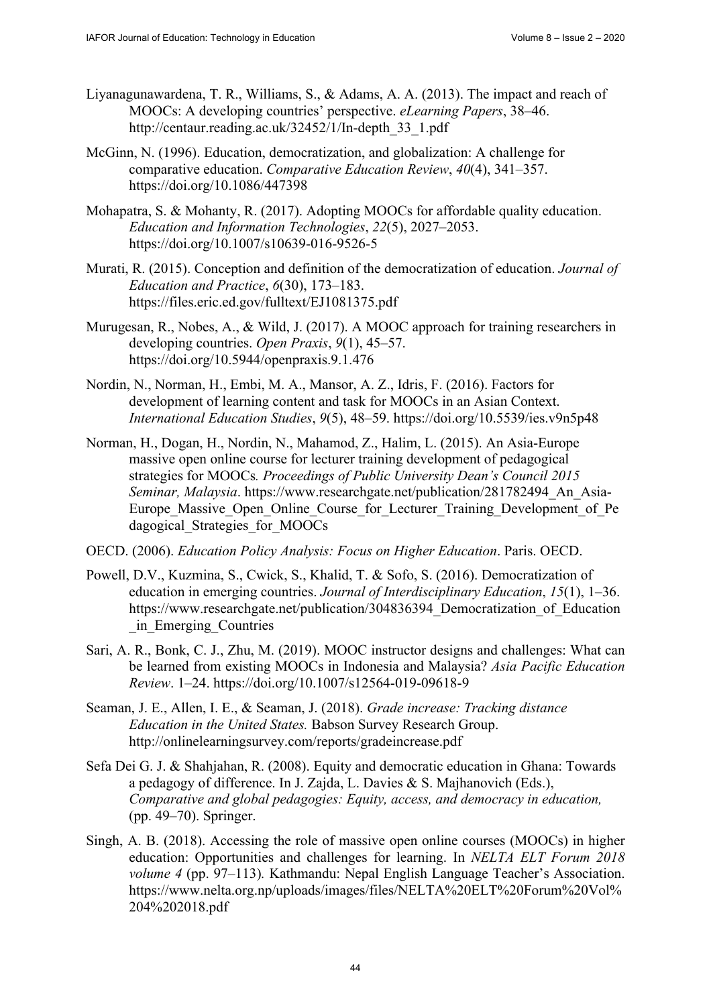- Liyanagunawardena, T. R., Williams, S., & Adams, A. A. (2013). The impact and reach of MOOCs: A developing countries' perspective. *eLearning Papers*, 38–46. [http://centaur.reading.ac.uk/32452/1/In-depth\\_33\\_1.pdf](http://centaur.reading.ac.uk/32452/1/In-depth_33_1.pdf)
- McGinn, N. (1996). Education, democratization, and globalization: A challenge for comparative education. *Comparative Education Review*, *40*(4), 341–357. <https://doi.org/10.1086/447398>
- Mohapatra, S. & Mohanty, R. (2017). Adopting MOOCs for affordable quality education. *Education and Information Technologies*, *22*(5), 2027–2053. <https://doi.org/10.1007/s10639-016-9526-5>
- Murati, R. (2015). Conception and definition of the democratization of education. *Journal of Education and Practice*, *6*(30), 173–183. <https://files.eric.ed.gov/fulltext/EJ1081375.pdf>
- Murugesan, R., Nobes, A., & Wild, J. (2017). A MOOC approach for training researchers in developing countries. *Open Praxis*, *9*(1), 45–57. <https://doi.org/10.5944/openpraxis.9.1.476>
- Nordin, N., Norman, H., Embi, M. A., Mansor, A. Z., Idris, F. (2016). Factors for development of learning content and task for MOOCs in an Asian Context. *International Education Studies*, *9*(5), 48–59.<https://doi.org/10.5539/ies.v9n5p48>
- Norman, H., Dogan, H., Nordin, N., Mahamod, Z., Halim, L. (2015). An Asia-Europe massive open online course for lecturer training development of pedagogical strategies for MOOCs*. Proceedings of Public University Dean's Council 2015 Seminar, Malaysia*. [https://www.researchgate.net/publication/281782494\\_An\\_Asia-](https://www.researchgate.net/publication/281782494_An_Asia-Europe_Massive_Open_Online_Course_for_Lecturer_Training_Development_of_Pe)Europe Massive Open Online Course for Lecturer Training Development of Pe dagogical Strategies for MOOCs
- OECD. (2006). *Education Policy Analysis: Focus on Higher Education*. Paris. OECD.
- Powell, D.V., Kuzmina, S., Cwick, S., Khalid, T. & Sofo, S. (2016). Democratization of education in emerging countries. *Journal of Interdisciplinary Education*, *15*(1), 1–36. https://www.researchgate.net/publication/304836394 Democratization of Education \_in\_Emerging\_Countries
- Sari, A. R., Bonk, C. J., Zhu, M. (2019). MOOC instructor designs and challenges: What can be learned from existing MOOCs in Indonesia and Malaysia? *Asia Pacific Education Review*. 1–24. <https://doi.org/10.1007/s12564-019-09618-9>
- Seaman, J. E., Allen, I. E., & Seaman, J. (2018). *Grade increase: Tracking distance Education in the United States.* Babson Survey Research Group. <http://onlinelearningsurvey.com/reports/gradeincrease.pdf>
- Sefa Dei G. J. & Shahjahan, R. (2008). Equity and democratic education in Ghana: Towards a pedagogy of difference. In J. Zajda, L. Davies & S. Majhanovich (Eds.), *Comparative and global pedagogies: Equity, access, and democracy in education,* (pp. 49–70). Springer.
- Singh, A. B. (2018). Accessing the role of massive open online courses (MOOCs) in higher education: Opportunities and challenges for learning. In *NELTA ELT Forum 2018 volume 4* (pp. 97–113)*.* Kathmandu: Nepal English Language Teacher's Association. <https://www.nelta.org.np/uploads/images/files/NELTA%20ELT%20Forum%20Vol%> 204%202018.pdf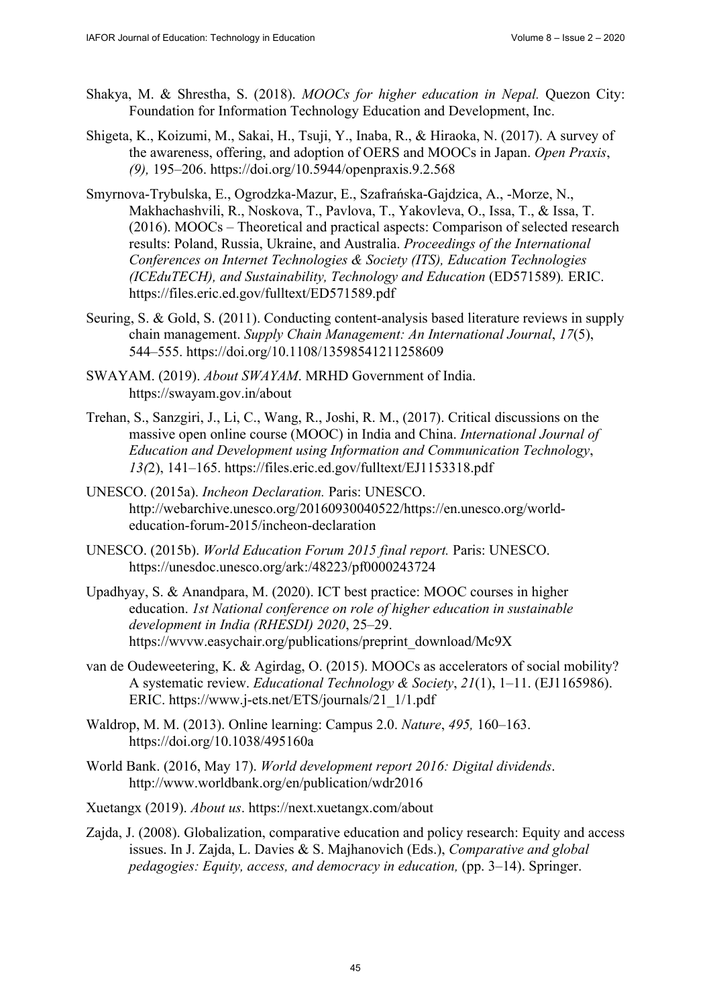- Shakya, M. & Shrestha, S. (2018). *MOOCs for higher education in Nepal.* Quezon City: Foundation for Information Technology Education and Development, Inc.
- Shigeta, K., Koizumi, M., Sakai, H., Tsuji, Y., Inaba, R., & Hiraoka, N. (2017). A survey of the awareness, offering, and adoption of OERS and MOOCs in Japan. *Open Praxis*, *(9),* 195–206. <https://doi.org/10.5944/openpraxis.9.2.568>
- Smyrnova-Trybulska, E., Ogrodzka-Mazur, E., Szafrańska-Gajdzica, A., -Morze, N., Makhachashvili, R., Noskova, T., Pavlova, T., Yakovleva, O., Issa, T., & Issa, T. (2016). MOOCs – Theoretical and practical aspects: Comparison of selected research results: Poland, Russia, Ukraine, and Australia. *Proceedings of the International Conferences on Internet Technologies & Society (ITS), Education Technologies (ICEduTECH), and Sustainability, Technology and Education* (ED571589)*.* ERIC. <https://files.eric.ed.gov/fulltext/ED571589.pdf>
- Seuring, S. & Gold, S. (2011). Conducting content-analysis based literature reviews in supply chain management. *Supply Chain Management: An International Journal*, *17*(5), 544–555. <https://doi.org/10.1108/13598541211258609>
- SWAYAM. (2019). *About SWAYAM*. MRHD Government of India. <https://swayam.gov.in/about>
- Trehan, S., Sanzgiri, J., Li, C., Wang, R., Joshi, R. M., (2017). Critical discussions on the massive open online course (MOOC) in India and China. *International Journal of Education and Development using Information and Communication Technology*, *13(*2), 141–165. <https://files.eric.ed.gov/fulltext/EJ1153318.pdf>
- UNESCO. (2015a). *Incheon Declaration.* Paris: UNESCO. [http://webarchive.unesco.org/20160930040522/https://en](http://webarchive.unesco.org/20160930040522/)[.unesco.org/world](https://en.unesco.org/world-education-forum-2015/incheon-declaration)education-[forum-2015/incheon-declaration](https://en.unesco.org/world-education-forum-2015/incheon-declaration)
- UNESCO. (2015b). *World Education Forum 2015 final report.* Paris: UNESCO. <https://unesdoc.unesco.org/ark:/48223/pf0000243724>
- Upadhyay, S. & Anandpara, M. (2020). ICT best practice: MOOC courses in higher education. *1st National conference on role of higher education in sustainable development in India (RHESDI) 2020*, 25–29. [https://wvvw.easychair.org/publications/preprint\\_download/Mc9X](https://wvvw.easychair.org/publications/preprint_download/Mc9X)
- van de Oudeweetering, K. & Agirdag, O. (2015). MOOCs as accelerators of social mobility? A systematic review. *Educational Technology & Society*, *21*(1), 1–11. (EJ1165986). ERIC. [https://www.j-ets.net/ETS/journals/21\\_1/1.pdf](https://www.j-ets.net/ETS/journals/21_1/1.pdf)
- Waldrop, M. M. (2013). Online learning: Campus 2.0. *Nature*, *495,* 160–163. <https://doi.org/10.1038/495160a>
- World Bank. (2016, May 17). *World development report 2016: Digital dividends*. <http://www.worldbank.org/en/publication/wdr2016>
- Xuetangx (2019). *About us*. <https://next.xuetangx.com/about>
- Zajda, J. (2008). Globalization, comparative education and policy research: Equity and access issues. In J. Zajda, L. Davies & S. Majhanovich (Eds.), *Comparative and global pedagogies: Equity, access, and democracy in education,* (pp. 3–14). Springer.